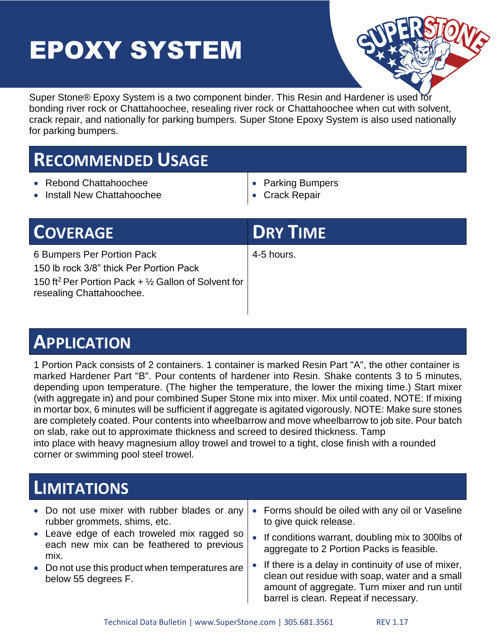# EPOXY SYSTEM



Super Stone® Epoxy System is a two component binder. This Resin and Hardener is used for bonding river rock or Chattahoochee, resealing river rock or Chattahoochee when cut with solvent, crack repair, and nationally for parking bumpers. Super Stone Epoxy System is also used nationally for parking bumpers.

# **RECOMMENDED USAGE**

- Rebond Chattahoochee
- Install New Chattahoochee
- Parking Bumpers
- Crack Repair

| <b>COVERAGE</b>                                                                                                                                                         | <b>DRY TIME</b> |
|-------------------------------------------------------------------------------------------------------------------------------------------------------------------------|-----------------|
| 6 Bumpers Per Portion Pack<br>150 lb rock 3/8" thick Per Portion Pack<br>150 ft <sup>2</sup> Per Portion Pack $+$ 1/2 Gallon of Solvent for<br>resealing Chattahoochee. | 4-5 hours.      |

# **APPLICATION**

1 Portion Pack consists of 2 containers. 1 container is marked Resin Part "A", the other container is marked Hardener Part "B". Pour contents of hardener into Resin. Shake contents 3 to 5 minutes, depending upon temperature. (The higher the temperature, the lower the mixing time.) Start mixer (with aggregate in) and pour combined Super Stone mix into mixer. Mix until coated. NOTE: If mixing in mortar box, 6 minutes will be sufficient if aggregate is agitated vigorously. NOTE: Make sure stones are completely coated. Pour contents into wheelbarrow and move wheelbarrow to job site. Pour batch on slab, rake out to approximate thickness and screed to desired thickness. Tamp into place with heavy magnesium alloy trowel and trowel to a tight, close finish with a rounded corner or swimming pool steel trowel.

## **LIMITATIONS**

| • Do not use mixer with rubber blades or any<br>rubber grommets, shims, etc.                     | • Forms should be oiled with any oil or Vaseline<br>to give quick release.                                                                                                                       |
|--------------------------------------------------------------------------------------------------|--------------------------------------------------------------------------------------------------------------------------------------------------------------------------------------------------|
| • Leave edge of each troweled mix ragged so<br>each new mix can be feathered to previous<br>mix. | If conditions warrant, doubling mix to 300lbs of<br>aggregate to 2 Portion Packs is feasible.                                                                                                    |
| • Do not use this product when temperatures are<br>below 55 degrees F.                           | • If there is a delay in continuity of use of mixer,<br>clean out residue with soap, water and a small<br>amount of aggregate. Turn mixer and run until<br>barrel is clean. Repeat if necessary. |